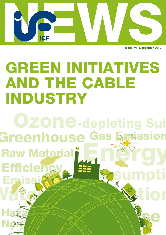

Issue 74 | December 2013

# GREEN INITIATIVES AND THE CABLE INDUSTRY

## Ozone-depleting Sub Greenhouse Gas Engission **Raw Material Efficiency** En<sup>er</sup>gy Emissions Consumpti

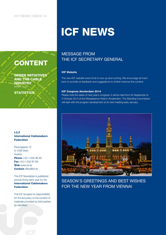## CONTENT

GREEN INITIATIVES AND THE CABLE **INDUSTRY** (pages 1-12)

**STATISTICS** 

## I.C.F International Cablemakers Federation

Paulusgasse 12 A-1030 Wien Austria **Phone**  $+43-1-53299640$ Fax +43-1-532 97 69 Web www.icf.at Contact office@icf.at

The ICF Newsletter is published several times each year by the International Cablemakers Federation.

The ICF accepts no responsibility for the accuracy or the content of materials provided by third parties as identified.

## ICF NEWS

## MESSAGE FROM THE ICF SECRETARY GENERAL

## ICF Website

The new ICF website www.icf.at is now up and running. We encourage all members to provide us feedback and suggestions to further improve the content.

### ICF Congress Amsterdam 2014

Please note the dates of next year´s congress: it will be held from 30 September to 3 October 2014 at the Renaissance Hotel in Amsterdam. The Standing Commission will start with the program development at its next meeting early January.



## SEASON'S GREETINGS AND BEST WISHES FOR THE NEW YEAR FROM VIENNA!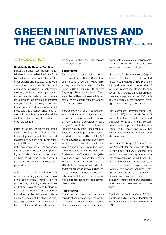## GREEN INITIATIVES AND THE CABLE INDUSTRY Provided by CRU

## INTRODUCTION

### Sustainability Gaining Traction

Industry parlance uses the term "sustainable" to broadly describe "green" initiatives that are promulgated by industry organizations and adopted by a wide array of suppliers, manufacturers and end-users. Sustainable not only covers the measures being taken to protect the environment, but reflects the cost-saving measures implemented to improve margins and the on-going adherence to standards that deliver products that meet safety and performance requirements. In this article we look at what the cable industry is doing to improve its green credentials.

Much of the discussion around green cable specific product-developments in recent years relates to the use and marketing of halogen free, flame retardant (HFFR) compounds used in cable jacketing and insulation. Such cables are used in applications such as shipbuilding, enterprise, data centre and other applications, where cables are deployed in closed environments and where people work or live.

Although industry participants are actively developing greener products as a way to differentiate themselves from competitors, the ability to deliver costneutral products at this early stage is low. Thus, R&D is one of many elements that fall under the umbrella of sustainability, and much of the effort and success of green initiatives to date relates to broader efforts to reduce costs throughout the value chain that will increase shareholder value.

### **Background**

Concerns about sustainability and the environment in the United States have been around since the 1960s, chief among them, the publication of Rachel Carson's Silent Spring in 1962 and the Cuyahoga River fire in 1969. These events helped lead to the establishment of the Environmental Protection Agency in December 1970.

Important early legislation included Clean Water and Air Acts and subsequent amendments. Improvements in smoke emission and fire propagation in cable designs followed disasters such as the Brooklyn subway fire in December 1990 where an exposed power cable shortcircuited, exploded and burned the PVC jacket releasing toxic gases. Two deaths resulted and another 188 people were treated for injuries. Even in 1982 concerns were raised with the New York City Metropolitan Transit Authority (MTA) about cables with PVC and the potential for deadly fumes in the event of fire. The MTA declined to remove installed cables saying the presence of PVC did not constitute a hazard, but opted to use safer cables in the future. In Europe similar high profile fires led to the development of new cables.

## Role of NGOs

Safety, performance and environmental considerations necessitated the establishment of standards bodies comprised of industry experts to define minimum acceptable performance requirements. Some of these committees are well known and are shown in Figure 1.

ISO stands for the International Organization for Standardization and is located in Geneva, Switzerland. ISO promotes the development and implementation of voluntary international standards, both for particular products and for environmental management issues. ISO certifies companies in environmental management and energy management.

The International Electrotechnical Commission's (IEC) is composed of national committees that appoint experts and delegates to the IEC. The TC 89 subcommittee is responsible for standards relating to fire hazard and smoke that covers corrosivity, toxic gases and abnormal heat.

Located in Washington DC, the American National Standards Institute (ANSI) is the voice of the US standards and conformity assessment system and the official representative to the IEC and ISO. UL or Underwriter Laboratories calls itself an independent safety science company that certifies, validates, tests, and inspects wire and cable products for industrial and consumer applications. UL actively works to bring its own standards in alignment with international organizations.

The National Electrical Code (NEC) is developed and published by the National Fire Protection Association (NFPA) since 1911.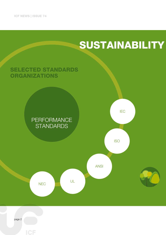ICF NEWS | ISSUE 74



page 2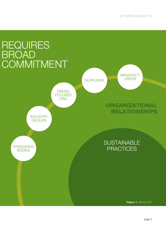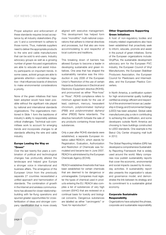Proper adoption and enforcement of these standards requires broad acceptance by all industry stakeholders (Figure 1) and a commitment to adhere to those norms. Thus, materials suppliers need to deliver the appropriate products to the wire and cable manufacturers that can be sold to end-users. Industry advocacy groups as well as a growing number of green-focused organizations are able to educate and assist industry participants on important trends. In some cases, activist groups are able to generate attention—sometimes negative—that influences boards of directors to make environmental considerations a priority.

None of the green initiatives that have been adopted would have been possible without the significant role played by national and international standards organizations. The organizations mentioned in Slide 1 form the backbone of industry's ability to responsibly address critical challenges. Technical sub-committees work to account for emerging trends and incorporate changes to all standards affecting the wire and cable industry.

## Europe Leading the Way on "Green"

Over the last twenty-five years a combination of political and technological changes has profoundly altered the landscape and helped give Europe a stronger voice in international and business affairs. The emergence of the European Union from the previously separate 27 countries necessitated a unified approach and harmonization of standards. The combination of growth in the Internet and wireless communications has allowed for closer relationshipbuilding with far-flung operations and spurred greater opportunities for crossfertilization of ideas and stronger company identification that is more closely

aligned with executive management. This development has helped form more "monolithic" multi-national corporations that adhere to internal directives and processes, but that also are more accommodating to and respectful of local customs and traditions.

This breaking down of barriers has allowed Europe to become a leader in developing sustainable and green initiatives. One area that has shaped the sustainability narrative was the introduction in July 2006 of the European Union's Restriction of the use of certain Hazardous Substances in Electrical and Electronic Equipment directive (ROHS), and pronounced as either "Roe-hoss" or "Ross". ROHS compliance refers to minimum agreed levels for the use of lead, cadmium, mercury, hexavalent chromium, polybrominated biphenyl (PBB) and polybrominated diphenyl ether (PBDE) flame retardants. The directive henceforth forbade the sale of any products containing those banned substances.

Only a year after ROHS standards were established, a separate European initiative called REACH, which stands for Registration, Evaluation, Authorization and Restriction of Chemicals was formulated and became law in June 2007. REACH is administered by the European Chemicals Agency (ECHA).

REACH establishes thresholds that have been established for certain chemicals that are deemed to be dangerous or unmanageable. Companies must register the types of chemical used in products entering the EU. REACH also compiles a list of substances of very high concern (SVHC) that are reviewed on a continual basis for toxicity and biological concerns. Dangerous substances are labelled as either "carcinogenic" or "toxic for reproduction".

## Other Organizations Supporting Green Initiatives

A host of non-regulatory bodies and industry-related organizations also have been established that proactively seek to inform, educate, promote and assist in the pursuit of green initiatives. Some of the European organizations include: VinylPlus, the sustainable development advocacy arm for the European PVC industry, the European Council of Vinyl Manufacturers, the European Stabiliser Producers Association, the European Council for Plasticisers and Intermediates, and the European Plastics Converters.

In North America, a certification system for high environmental quality buildings certified as energy-efficient and respectful of the environment known as Leadership in Energy and Environmental Design (LEED) has been adopted. Global cable manufacturers play a role in contributing to achieving this certification, and some developers outside North America are choosing to have buildings constructed to LEED standards. One example is the Beirut City Center shopping mall built in 2012.

The Global Reporting Initiative (GRI) has developed a comprehensive Sustainability Reporting Framework that is widely used around the world. Many companies now publish sustainability reports that cover the economic, environmental and social impacts caused by its everyday activities. A sustainability report also presents the organization's values and governance model, and demonstrates the link between its strategy and its commitment to a sustainable global economy.

## Corporate Sustainable **Responsibility**

Organizations have adopted the phrase, corporate and sustainable responsibility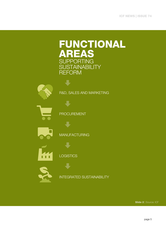

Slide 2 | Source: ICF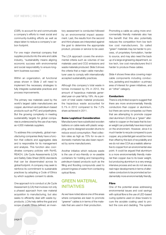(CSR), to account for and communicate a company's efforts to meet social and community-building efforts as well as steps taken to reduce a company's carbon footprint.

For one major chemical company that supplies products into the wire and cable industry, "sustainability means aligning economic success with environmental and social responsibility to ensure longterm business success."

Within an organization, all functional areas shown in Slide 2 will need to implement the necessary strategies to fully integrate sustainable practices and process improvements.

The primary raw materials used by the world's largest cable manufacturers are copper, aluminium and petroleum-based products such as PVC and polyethylene. But the growing complexity in meeting sustainability targets for global companies is underscored by the use of as many as 4,000 materials suppliers.

To address this complexity, global manufacturing companies likely have a function that collects and aggregates data and is responsible for its management and analysis. This function also coordinates company policies with RoHS, REACH, Life Cycle Assessments (LCA) and Safety Data Sheet (SDS) standards that can be disseminated across its global footprint. A company may seek to reinforce its commitment to sustainable practices by adopting a Code of Ethics by which suppliers consent to abide.

One approach is to conduct a Life Cycle Assessment (LCA) that involves not only a phased approach from raw material acquisition to manufacturing, but also seeks to efficiently deal with waste byproducts. LCAs help define the goal and scope of work. Once defined, an inventory assessment is conducted followed by an environmental impact assessment. Last, the results from the second and third phases are interpreted against the goal to determine the appropriate product, process or service to be used.

The LCA approach covers the environmental criteria such as volumes of raw materials used and CO2 emissions and waste materials produced. Slide 3 shows the criteria that a major cable manufacturer uses to comply with internationally accepted sustainability practices.

Although this company's total waste in tonnes increased by 5% in 2012, the amount of hazardous materials generated year-on-year fell by 19%. As a percent of total waste material produced, the hazardous waste accounted for 5.1% in 2012 compared to the 7.2% share achieved in 2011.

## Some Logistical Consideration

Manufacturers have substituted wooden battens on cable reels with plastic wrapping, and re-designed wooden drums to reduce wood consumption. Reel collection rates as high as 70% for re-use in domestic markets has also been reported by some manufacturers.

Another initiative which reduces waste is the use of eco-friendly or re-useable containers for holding and transporting petroleum-based products such as the filling and flooding compounds used to prevent ingress of water from contacting optical fibres.

## GREEN MATERIAL INITIATIVES

As we have noted above one of the areas where companies are keen to promote "greener" cables is in terms of the materials that are used in their production.

Promoting a cable as using more environmentally friendly materials also has the benefit that this also potentially reduces the competition from low tech low cost manufacturers. So called "green" materials may be harder to process, of proprietary formulation, harder to source, and may also need the back up of a large engineering department, so low tech, low cost manufacturers find it harder to produce these cables.

Slide 4 shows three silos covering major cable components including conductors, jacketing and insulation--a primary area of interest for green initiatives, and an "other" category.

### **Conductors**

There is only limited scope to suggest that there are more environmentally friendly conductors than copper or aluminium, but there are some companies out there that are attempting to promote copper clad aluminium (CCA) as a "green" alternative to copper on the basis that its lower weight can potentially have less impact on the environment. However, since it is much harder to recycle compared to pure copper, any potential gain would be more than offset by this lack of recyclability and we do not view CCA as a realistic alternative to copper from an environmental view point. It could be argued that aluminium is a more environmentally friendly material than copper due to its lower weight, but producing aluminium is a very energy intensive process and we do not see any real major developments in terms of alternative conductors to be promoted as fundamentally more environmentally friendly.

### Fibre

One of the potential areas addressing environmental issues and cost savings with optical fibre is the use of LED-based curing systems used on draw towers to cure the acrylate coating used to protect the core and cladding. The system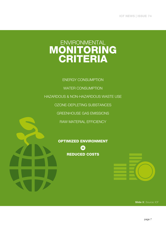## ENVIRONMENTAL MONITORING CRITERIA

ENERGY CONSUMPTION WATER CONSUMPTION HAZARDOUS & NON-HAZARDOUS WASTE USE OZONE-DEPLETING SUBSTANCES GREENHOUSE GAS EMISSIONS RAW MATERIAL EFFICIENCY

> OPTIMIZED ENVIRONMENT A

> > REDUCED COSTS



Slide 3 | Source: ICF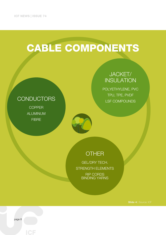## CABLE COMPONENTS

## JACKET/ INSULATION

POLYETHYLENE, PVC TPU, TPE, PVDF LSF COMPOUNDS

## **CONDUCTORS**

**COPPER** ALUMINUM FIBRE

## **OTHER**

GEL/DRY TECH. STRENGTH ELEMENTS RIP CORDS BINDING YARNS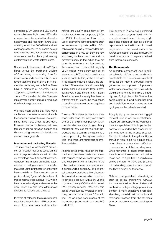comprises a UV Lamp and LED curing system that uses high power LEDs with a narrow band of emission that allows for higher yields and reportedly lowers utility costs by as much as 30%-70% for wire & cable applications. The air-cooled design eliminates the need for external cooling or ozone extraction thereby eliminating containment and waste-related costs.

Some manufacturers are making 200μm fibres versus the traditional 250μm +/-5μm. Inking or colouring fibre for identification adds another 3-5μm. In a recent technical paper, thin skin micromodules containing twelve 242μm fibres have a diameter of 1.15mm. Using 200μm fibres, the diameter is reduced to 1.0mm. The smaller diameter fibre permits greater density and also produces significant weight savings.

We have seen claims that fibre optic cables are more environmentally friendly than copper ones as the main raw material to make fibre, silicon, is abundant. However, we do not believe that customers choosing between copper and fibre are going to make this decision on environmental grounds.

#### Insulation and Jacketing Material

The main focus of companies' promotion of "greener" cables is based on the use of polymers which are said to offer an advantage over traditional materials. Generally this means promoting alternatives to halogenenated materials, materials using phthalates or ones with heavy metals in. There are also companies offering "greener" alternatives of traditional materials such as PVC, which have reduced acid gas and smoke emission. There are also now alternatives available to replace lead sheaths.

In terms of halogens the main historical uses have been in PVC, FEP or brominated flame retardants, and the alternatives are usually some form of low smoke zero halogen compound (LSOH or LSZH) often based on EVA, or the use of alternative flame retardants such as aluminium trihydrate (ATH). LSOH cables were originally developed for their performance in a fire, but they are now also being marketed as more environmentally friendly in that when they are burnt the emissions are less toxic to the environment. Thus whilst originally LSOH cables were purely seen as an alternative to PVC cables for use in areas such as public buildings where fire was a real hazard to human health, the promotion of them as more environmentally friendly opens up a much larger potential market. It also means that in North America, where fire safety has taken a different path to Europe, this has opened up an alternative way of promoting these types of cable.

The use of Phthalates as plasticisers has been under attack for many years since one of the original compounds, DOP, was classified as a carcinogen. Many companies now use the fact that their products don't contain phthalates as a way of promoting their green credentials, and there are numerous alternatives available.

Another development has been the introduction of plasticisers made from renewable sources to make a cable "greener". One example in North America is the collaboration between a chemical and a compounding company. The chemical company provided a bio-plasticizer that was further enhanced and modified to develop a product with a low volatile organic content (VOC) that didn't smell. PVC typically releases 24%-25% acid gases when burned, whereas an HFFR compound emits less than 0.5% acid gas. The acid gas performance of the greener compound falls in between PVC and HFFR.

This approach is also being explored with the basic polymer itself with for example ethanol based bio-polyethylene being offered at least as a partial replacement to traditional oil based polyethylene. There would seem to be further potential for the cable industry to develop more use of polymers derived from renewable resources.

### Gel Compounds

An important component used in optical cables is gel-filling compound that is injected into the tube containing optical fibres as the tube is extruded. Filling gel serves two purposes: 1) It prevents water from contacting the fibres, which would compromise the fibre's integrity, and 2) it protects the fibre as the cable is bent or flexed during handling and installation, or during temperature cycling once the cable is installed.

Roughly eighty percent of the filling gel material used in cables is petroleumbased, but to meet performance requirements a specialized thixotropic rubber compound is added that accounts for the remainder of the finished product. Thixotropic refers to the gel's ability to transition from a gel to a liquid-state when there is some shear effect or movement on or at the boundary layer. Once movement or shear effect stops, the rubber additive causes the liquid to revert back to a gel. Gel in a liquid state allows the fibre to move and prevent micro-bending losses that would impair the fibre's optical performance.

Gels for more specialized cable designs such as optical groundwire (OPGW) that are installed in place of standard earth wires on high voltage power lines contain a more expensive hydrogenabsorbing material that can withstand hydrogen released from the stainless steel or aluminium tubes containing the fibres.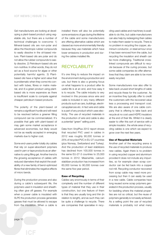Gel manufacturers are looking at developing a plant-based product using vegetable oils, but there are a number of technical challenges to overcome: 1) Mineral-based oils are non-polar and allow the thixotropic rubber compounds to easily dissolve in the oil-based mixture. Plant-based oils are polar and do not allow the rubber compounds to easily dissolve. 2) Petroleum-based oils are non-nutritive. In other words, they do not act as a food source for algae or other potentially harmful agents. 3) Plantbased oils have a higher acid value that is problematic when they come into contact with tubes, fibres or matrix material, and 4) a green product using plantbased oils is more expensive as there is insufficient scale to compete against cheaper petroleum-based products.

The polarity of the plant-based oil remains a significant hurdle and will need to be resolved before a greener filling compound can be commercialized. It's possible that gels with plant-based oil may gain some market acceptance in advanced economies, but likely would not be as readily accepted in emerging markets due to higher cost.

Some end-users prefer totally dry cables that rely on super-absorbent polymers used in yarn or tape products as an alternative to using filling gel. Another trend is the growing acceptance of cables with reduced diameters that exploit the availability of a new family of bend-optimized fibres that eliminates the negative effects of micro bends.

During the production process and also during a cable's subsequent life, the polymers used in insulation and sheathing often give off gasses. For example when a power cable is insulated with XLPE the production process generates gasses that must be allowed to escape from the insulation. When a cable is

installed there will also be potentially some emissions of gas during the lifetime of the cable and some manufacturers are offering alternative cables which are classed as more environmentally friendly because they use materials which have lower emissions in production and during the cables installed life.

## **RECYCLABILITY**

It's one thing to reduce the impact on the environment during a production and use, but there is also a growing focus on what happens to a product after its useful life is at an end, and how easy it is to recycle. The cable industry is very involved in this process since wire and cable is included in very many different products such as cars, buildings, electrical appliances etc. In fact wire and cable is a part of any product which uses electricity. The use of recycled materials in the production of wire and cable is also a potential "green" selling point.

Data from VinylPlus 2012 report shows that recycled PVC used in cables in 2012 was roughly 90,000 tonnes or 25% of recycled PVC in EU-27 countries (plus Norway, Switzerland and Turkey). And the production of lead stabilizers has declined from 100,000 tonnes in the same EU-27-3 countries to 25,000 tonnes in 2012. Meanwhile, calcium stabilizer production has increased from 60,000 tonnes to 90,000 tonnes over the same five-year period.

### Ease of Recycling

Cables vary enormously in terms of their complexity and the number of different types of material that they use in their construction, but one feature of them is that they are usually long and thin (in relation to length), and as such they can be quite a challenge to recycle. There are companies that specialise in recycling used cables and machinery is available to do this, but cable manufacturers can also help by redesigning their cables to make them easier to recycle. There is no problem in recycling the copper, aluminium conductor, or steel armour once it has been removed from the cable, but recycling the insulation and sheath can be more challenging. Traditional crosslinked compounds are difficult to recycle because of the curing process, but some cable companies do offer alternatives that they claim are able to be more easily recycled.

Some manufacturers now also offer to take back unused short lengths of cable and recycle these for the customer. As an incentive they typically offer to credit the customers with the recovered value less a processing and transport cost. We are also aware of one cable company that is offering to take back and recycle at no cost used HDPE insulators at the end of their life. Whilst it is clearly easier to offer this sort of service with a simple insulator, the whole area of recycling cables is one which we expect to grow over the next few years.

### Use of Recycled Materials

Another part of the recycling arena is the use of recycled materials to produce new cables. Again there is no problem in using recycled copper and aluminium provided it does not include any impurities, so for example clean scrap conductor can be fed back into a copper rod mill. Recycling conductor recovered from scrap cable may need more processing but then it can easily be used in a new cable. Cable companies have long reused some scrap polymers generated in the production process, usually for bedding where the material properties are not so critical, but the reuse of polymers generally is not easily achieved. As a selling point the use of recycled materials is probably not what many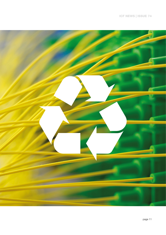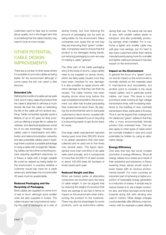customers want to hear due to worries about quality, but in the longer term this is something that the cable industry may need to look at more closely.

## OTHER POTENTIAL CABLE DESIGN IMPROVEMENTS

There are a number of other areas where it is possible to promote cables as being better for the environment although in some cases the link can seem a little tenuous.

### Extended Life

Defining the true life of a cable can be quite hard, and in many cases the product that the cable is attached to will have a much shorter life than the cable so extending the life of the cable will not achieve anything. Cable companies typically quote a lifetime of up to 40 years for their products so offering a longer life on cables for vehicles, and electrical appliances would be of no real advantage. However, for cables used in transmission and distribution and telecommunication networks and also potentially cables used in buildings there could be a possible advantage in using a cable with a longer life. Replacing cables can be a time consuming process requiring significant resources, so in theory a cable with a longer useable life could be classed as being better for the environment. In practice whether a customer would pay more for a cable where any advantage only occurred after 40 years must be questionable.

## Reduced Packaging and the Recycling of Packaging

Most cables are supplied on some form of reel or drum, although some smaller ones are also supplied in boxes. The cable industry has long looked at reducing the cost of packaging as a way of saving money, but now reducing the amount of packaging can be sold as being better for the environment. Many companies now quote this as one way they are improving their "green" credentials. Companies need to ensure that the product is not damaged during transit, but reducing packaging is a win-win way of making a cable "greener".

The other part of the cable packaging story is the reuse of drums. Large cables need to be supplied on sturdy drums, which are fairly easily reused once they have been checked for any damage. It is also possible to repair drums with minor damage so that they can then be reused. The cable industry has been reusing drums since long before this was considered of benefit to the environment, but often had trouble persuading their customers to return them. By playing the environmental card to persuade customers to return drums, coupled with the general increased focus on recycling it is becoming easier to get drums back for reuse.

One large cable manufacturer reported having used more than 280,000 drums in its global operations that had been collected and re-used one to five times over several years. This figure represented more than one-third of all cable reels used annually, and it corresponds to more than  $94,000$  m<sup>3</sup> of sawn lumber or about 100,000 trees (45 hectares of forest saved each year).

## Reduced Weight and Size

When we looked earlier at alternative conductors we touched upon the issue of cable weight. It can be argued that by reducing the weight of a product that there are savings to be had in terms of impact on the environment when transporting the product to the customer. There may also be advantages for some products, such as automotive cables,

during their use. The same can be said of size, with smaller cables easier to transport, and also potentially producing savings when installed. For a customer a lighter and smaller cable may well give cost savings, but it's hard to see many customers (other than vehicle manufacturers) paying more for a smaller and lighter cable just because it has less impact on the environment.

#### Impact on the Environment

In general the focus of a "green" product and its impact on the environment is normally centred on the materials used in manufacture and recyclability, but another point to consider is the visual impact cables, and in particular power cables, can have. This issue is most prominent when looking at high voltage transmission lines, with increasing resistance to the building of new overhead transmission lines, particularly in Europe. Thus it can be argued that underground HV cables are "green" cables in that they offer a more environmentally friendly solution than overhead lines. This can also apply to other types of cable which are normally installed in view and could potentially be hidden by using an alternative design.

#### Energy Efficiency

One area that has had some modest promotion is energy efficiency. Since all energy cables incur losses as a result of their resistance and reactance, in theory lowering these values would result in lower losses with an obvious environmental benefit. For most countries an important part of achieving a higher proportion of renewable energy generation is a reduction of losses. A simple way to reduce losses is to use a larger conductor size, and there has been some trend towards doing this with winding wire used in motors. Other design changes could potentially offer efficiency improvements, with for example a cable offering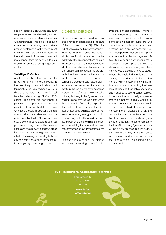better heat dissipation running at a lower temperature and thereby having a lower resistance, since resistance increases with temperature. This looks like an area where the cable industry could make a positive contribution to the environment with more work, although the impact on the environment of the need to extract more copper from the earth could be a counter argument to using larger conductors.

### "Intelligent" Cables

Another area where the cable industry is looking to help improve efficiency is the use of equipment with distributed temperature sensing technology using fibre and sensors that allows for real time thermal monitoring of HV and EHV cables. The fibres are positioned in proximity to the power cables and can provide real time feedback to determine whether the cable is operating outside of established parameters and can pinpoint potential faults. Capturing these data allows utilities to address potential problems through preventive maintenance and avoid power outages. Utilities have learned that underground transmission lines using this sensing technology can safely have loads increased by high single-digit percentage points.

## **CONCLUSIONS**

Since wire and cable is used in a very broad range of applications in all parts of the world, and it is a US\$180bn plus industry there is clearly plenty of scope for the cable industry to make a positive contribution to efforts to reduce the impact of mankind on the environment and to make the most of the earth's limited resources. Most leading cable manufacturers now offer at least some products that are promoted as being better for the environment and also have initiatives under the banner of Corporate Social Responsibility to reduce their impact on the environment. In this article we have examined a broad range of areas where the cable industry is trying to be "greener", and whilst it is clear that this is an area where there is much effort being expended, it's hard not to see many of the initiatives as just good business practice. For example reducing energy consumption is something that will have a direct positive impact on the bottom line and ought to be something that any well run business strives to achieve irrespective of the impact on the environment.

The cable industry can't be blamed for mainly promoting "green" initiatives that can also potentially improve profits since most cable markets are very competitive, with strong competition amongst suppliers and more than enough capacity to meet demand. In this environment introducing green policies that put a company at a competitive disadvantage are difficult to justify and only offering more expensive "green" products, without also offering cheaper less green alternatives would also be a risky strategy. Where the cable industry is certainly making a contribution is by offering more environmentally friendly innovative products and promoting the benefits of these so that cable users can easily choose to use "greener" cables. In our view the traditionally conservative cable industry is really waking up to the potential that innovative developments in the field of more environmentally friendly cables can offer, and companies that ignore this trend may find themselves at a disadvantage in the future. Educating customers as to the benefits of using "greener" cables will be a slow process, but we believe that this is the way that the market will develop, and cable companies that ignore this or lag behind do so at their peril.

#### I.C.F - International Cablemakers Federation

Paulusgasse 12 A-1030 Wien Austria

www.icf.at office@icf.at